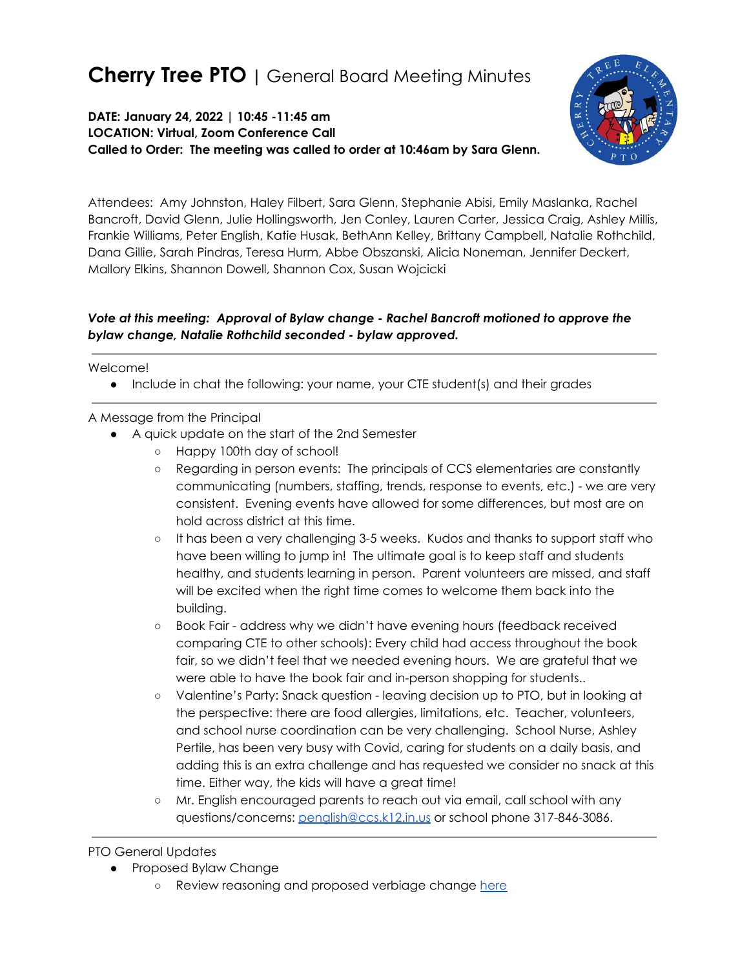# **Cherry Tree PTO |** General Board Meeting Minutes

**DATE: January 24, 2022 | 10:45 -11:45 am LOCATION: Virtual, Zoom Conference Call Called to Order: The meeting was called to order at 10:46am by Sara Glenn.**



Attendees: Amy Johnston, Haley Filbert, Sara Glenn, Stephanie Abisi, Emily Maslanka, Rachel Bancroft, David Glenn, Julie Hollingsworth, Jen Conley, Lauren Carter, Jessica Craig, Ashley Millis, Frankie Williams, Peter English, Katie Husak, BethAnn Kelley, Brittany Campbell, Natalie Rothchild, Dana Gillie, Sarah Pindras, Teresa Hurm, Abbe Obszanski, Alicia Noneman, Jennifer Deckert, Mallory Elkins, Shannon Dowell, Shannon Cox, Susan Wojcicki

### *Vote at this meeting: Approval of Bylaw change - Rachel Bancroft motioned to approve the bylaw change, Natalie Rothchild seconded - bylaw approved.*

Welcome!

● Include in chat the following: your name, your CTE student(s) and their grades

### A Message from the Principal

- A quick update on the start of the 2nd Semester
	- Happy 100th day of school!
	- Regarding in person events: The principals of CCS elementaries are constantly communicating (numbers, staffing, trends, response to events, etc.) - we are very consistent. Evening events have allowed for some differences, but most are on hold across district at this time.
	- It has been a very challenging 3-5 weeks. Kudos and thanks to support staff who have been willing to jump in! The ultimate goal is to keep staff and students healthy, and students learning in person. Parent volunteers are missed, and staff will be excited when the right time comes to welcome them back into the building.
	- Book Fair address why we didn't have evening hours (feedback received comparing CTE to other schools): Every child had access throughout the book fair, so we didn't feel that we needed evening hours. We are grateful that we were able to have the book fair and in-person shopping for students..
	- Valentine's Party: Snack question leaving decision up to PTO, but in looking at the perspective: there are food allergies, limitations, etc. Teacher, volunteers, and school nurse coordination can be very challenging. School Nurse, Ashley Pertile, has been very busy with Covid, caring for students on a daily basis, and adding this is an extra challenge and has requested we consider no snack at this time. Either way, the kids will have a great time!
	- Mr. English encouraged parents to reach out via email, call school with any questions/concerns: [penglish@ccs.k12.in.us](mailto:penglish@ccs.k12.in.us) or school phone 317-846-3086.

### PTO General Updates

- Proposed Bylaw Change
	- o Review reasoning and proposed verbiage change [here](https://resources.finalsite.net/images/v1641766054/ccsk12inus/u19drcm5rq1oqiebvjtu/December2021_BylawChangesforBudgeting.pdf)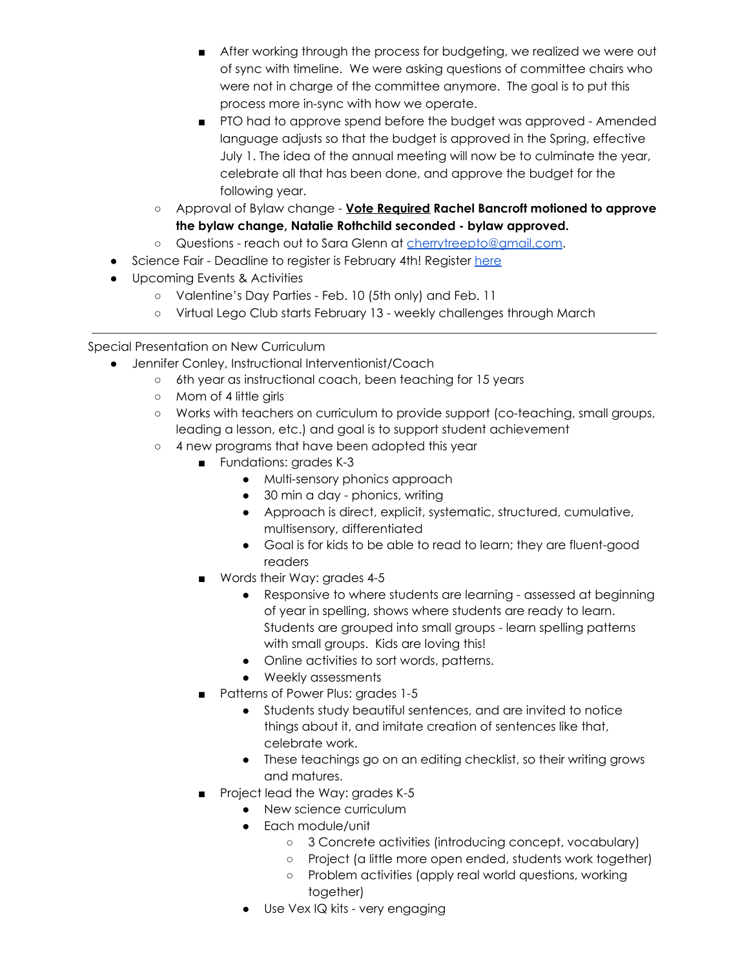- After working through the process for budgeting, we realized we were out of sync with timeline. We were asking questions of committee chairs who were not in charge of the committee anymore. The goal is to put this process more in-sync with how we operate.
- PTO had to approve spend before the budget was approved Amended language adjusts so that the budget is approved in the Spring, effective July 1. The idea of the annual meeting will now be to culminate the year, celebrate all that has been done, and approve the budget for the following year.
- Approval of Bylaw change **Vote Required Rachel Bancroft motioned to approve the bylaw change, Natalie Rothchild seconded - bylaw approved.**
- Questions reach out to Sara Glenn at [cherrytreepto@gmail.com.](mailto:cherrytreepto@gmail.com)
- Science Fair Deadline to register is February 4th! Register [here](https://docs.google.com/forms/d/e/1FAIpQLSeU0JHvZASDPbFiwFEHq1_sdkb9eEH1-8D2hRQDgEOHmwQymQ/viewform)
- Upcoming Events & Activities
	- Valentine's Day Parties Feb. 10 (5th only) and Feb. 11
	- Virtual Lego Club starts February 13 weekly challenges through March

Special Presentation on New Curriculum

- Jennifer Conley, Instructional Interventionist/Coach
	- 6th year as instructional coach, been teaching for 15 years
	- Mom of 4 little girls
	- Works with teachers on curriculum to provide support (co-teaching, small groups, leading a lesson, etc.) and goal is to support student achievement
	- 4 new programs that have been adopted this year
		- Fundations: grades K-3
			- Multi-sensory phonics approach
			- 30 min a day phonics, writing
			- Approach is direct, explicit, systematic, structured, cumulative, multisensory, differentiated
			- Goal is for kids to be able to read to learn; they are fluent-good readers
		- Words their Way: grades 4-5
			- Responsive to where students are learning assessed at beginning of year in spelling, shows where students are ready to learn. Students are grouped into small groups - learn spelling patterns with small groups. Kids are loving this!
			- Online activities to sort words, patterns.
			- Weekly assessments
		- Patterns of Power Plus: grades 1-5
			- Students study beautiful sentences, and are invited to notice things about it, and imitate creation of sentences like that, celebrate work.
			- These teachings go on an editing checklist, so their writing grows and matures.
		- Project lead the Way: grades K-5
			- New science curriculum
			- Each module/unit
				- 3 Concrete activities (introducing concept, vocabulary)
				- Project (a little more open ended, students work together)
				- Problem activities (apply real world questions, working together)
			- Use Vex IQ kits very engaging